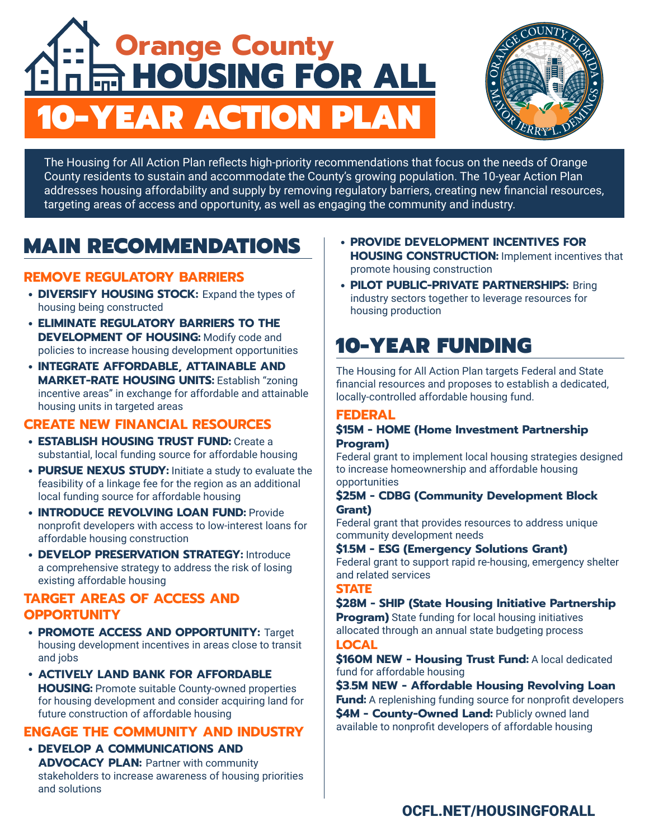# **Orange County<br>A HOUSING FOR ALL** 10-YEAR ACTION PLAN



The Housing for All Action Plan reflects high-priority recommendations that focus on the needs of Orange County residents to sustain and accommodate the County's growing population. The 10-year Action Plan addresses housing affordability and supply by removing regulatory barriers, creating new financial resources, targeting areas of access and opportunity, as well as engaging the community and industry.

## MAIN RECOMMENDATIONS

#### **REMOVE REGULATORY BARRIERS**

- **DIVERSIFY HOUSING STOCK:** Expand the types of housing being constructed
- **ELIMINATE REGULATORY BARRIERS TO THE DEVELOPMENT OF HOUSING:** Modify code and policies to increase housing development opportunities
- **INTEGRATE AFFORDABLE, ATTAINABLE AND MARKET-RATE HOUSING UNITS:** Establish "zoning incentive areas" in exchange for affordable and attainable housing units in targeted areas

#### **CREATE NEW FINANCIAL RESOURCES**

- **ESTABLISH HOUSING TRUST FUND:** Create a substantial, local funding source for affordable housing
- **PURSUE NEXUS STUDY:** Initiate a study to evaluate the feasibility of a linkage fee for the region as an additional local funding source for affordable housing
- **INTRODUCE REVOLVING LOAN FUND:** Provide nonprofit developers with access to low-interest loans for affordable housing construction
- **DEVELOP PRESERVATION STRATEGY:** Introduce a comprehensive strategy to address the risk of losing existing affordable housing

#### **TARGET AREAS OF ACCESS AND OPPORTUNITY**

- **PROMOTE ACCESS AND OPPORTUNITY:** Target housing development incentives in areas close to transit and jobs
- **ACTIVELY LAND BANK FOR AFFORDABLE HOUSING:** Promote suitable County-owned properties for housing development and consider acquiring land for future construction of affordable housing

#### **ENGAGE THE COMMUNITY AND INDUSTRY**

• **DEVELOP A COMMUNICATIONS AND ADVOCACY PLAN: Partner with community** stakeholders to increase awareness of housing priorities and solutions

- **PROVIDE DEVELOPMENT INCENTIVES FOR HOUSING CONSTRUCTION: Implement incentives that** promote housing construction
- **PILOT PUBLIC-PRIVATE PARTNERSHIPS:** Bring industry sectors together to leverage resources for housing production

### 10-YEAR FUNDING

The Housing for All Action Plan targets Federal and State financial resources and proposes to establish a dedicated, locally-controlled affordable housing fund.

#### **FEDERAL**

#### **\$15M - HOME (Home Investment Partnership Program)**

Federal grant to implement local housing strategies designed to increase homeownership and affordable housing opportunities

#### **\$25M - CDBG (Community Development Block Grant)**

Federal grant that provides resources to address unique community development needs

#### **\$1.5M - ESG (Emergency Solutions Grant)**

Federal grant to support rapid re-housing, emergency shelter and related services

#### **STATE**

#### **\$28M - SHIP (State Housing Initiative Partnership**

**Program)** State funding for local housing initiatives allocated through an annual state budgeting process **LOCAL**

**\$160M NEW - Housing Trust Fund:** A local dedicated fund for affordable housing

**\$3.5M NEW - Affordable Housing Revolving Loan Fund:** A replenishing funding source for nonprofit developers **\$4M - County-Owned Land:** Publicly owned land available to nonprofit developers of affordable housing

#### [OCFL.NET/HOUSINGFORALL](http://OCFL.NET/HOUSINGFORALL)